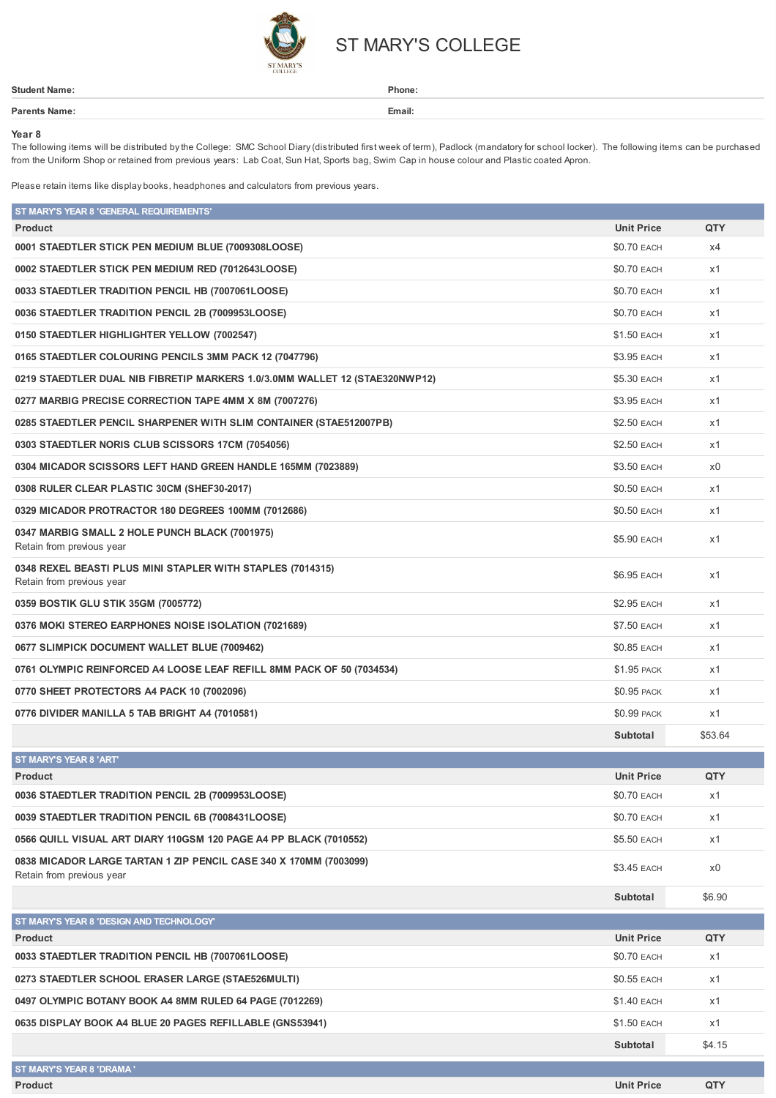

## ST MARY'S COLLEGE

| Student Nar | Phone: |
|-------------|--------|
| $1 - r$     | Email: |
|             |        |

## **Year 8**

The following items will be distributed bythe College: SMC School Diary(distributed first week of term), Padlock (mandatoryfor school locker). The following items can be purchased from the Uniform Shop or retained from previous years: Lab Coat, Sun Hat, Sports bag, Swim Cap in house colour and Plastic coated Apron.

Please retain items like display books, headphones and calculators from previous years.

| ST MARY'S YEAR 8 'GENERAL REQUIREMENTS'                                                        |                    |         |
|------------------------------------------------------------------------------------------------|--------------------|---------|
| <b>Product</b>                                                                                 | <b>Unit Price</b>  | QTY     |
| 0001 STAEDTLER STICK PEN MEDIUM BLUE (7009308LOOSE)                                            | \$0.70 EACH        | x4      |
| 0002 STAEDTLER STICK PEN MEDIUM RED (7012643LOOSE)                                             | <b>\$0.70 EACH</b> | x1      |
| 0033 STAEDTLER TRADITION PENCIL HB (7007061LOOSE)                                              | \$0.70 EACH        | x1      |
| 0036 STAEDTLER TRADITION PENCIL 2B (7009953LOOSE)                                              | \$0.70 EACH        | x1      |
| 0150 STAEDTLER HIGHLIGHTER YELLOW (7002547)                                                    | \$1.50 EACH        | x1      |
| 0165 STAEDTLER COLOURING PENCILS 3MM PACK 12 (7047796)                                         | \$3.95 EACH        | x1      |
| 0219 STAEDTLER DUAL NIB FIBRETIP MARKERS 1.0/3.0MM WALLET 12 (STAE320NWP12)                    | \$5.30 EACH        | x1      |
| 0277 MARBIG PRECISE CORRECTION TAPE 4MM X 8M (7007276)                                         | \$3.95 EACH        | x1      |
| 0285 STAEDTLER PENCIL SHARPENER WITH SLIM CONTAINER (STAE512007PB)                             | \$2.50 EACH        | x1      |
| 0303 STAEDTLER NORIS CLUB SCISSORS 17CM (7054056)                                              | \$2.50 EACH        | x1      |
| 0304 MICADOR SCISSORS LEFT HAND GREEN HANDLE 165MM (7023889)                                   | \$3.50 EACH        | x0      |
| 0308 RULER CLEAR PLASTIC 30CM (SHEF30-2017)                                                    | \$0.50 EACH        | x1      |
| 0329 MICADOR PROTRACTOR 180 DEGREES 100MM (7012686)                                            | <b>\$0.50 EACH</b> | x1      |
| 0347 MARBIG SMALL 2 HOLE PUNCH BLACK (7001975)<br>Retain from previous year                    | \$5.90 EACH        | x1      |
| 0348 REXEL BEASTI PLUS MINI STAPLER WITH STAPLES (7014315)<br>Retain from previous year        | \$6.95 EACH        | x1      |
| 0359 BOSTIK GLU STIK 35GM (7005772)                                                            | \$2.95 EACH        | x1      |
| 0376 MOKI STEREO EARPHONES NOISE ISOLATION (7021689)                                           | \$7.50 EACH        | x1      |
| 0677 SLIMPICK DOCUMENT WALLET BLUE (7009462)                                                   | \$0.85 EACH        | x1      |
| 0761 OLYMPIC REINFORCED A4 LOOSE LEAF REFILL 8MM PACK OF 50 (7034534)                          | <b>\$1.95 PACK</b> | x1      |
| 0770 SHEET PROTECTORS A4 PACK 10 (7002096)                                                     | \$0.95 PACK        | x1      |
| 0776 DIVIDER MANILLA 5 TAB BRIGHT A4 (7010581)                                                 | \$0.99 PACK        | x1      |
|                                                                                                | Subtotal           | \$53.64 |
| ST MARY'S YEAR 8 'ART'                                                                         |                    |         |
| <b>Product</b>                                                                                 | <b>Unit Price</b>  | QTY     |
| 0036 STAEDTLER TRADITION PENCIL 2B (7009953LOOSE)                                              | \$0.70 EACH        | x1      |
| 0039 STAEDTLER TRADITION PENCIL 6B (7008431LOOSE)                                              | \$0.70 EACH        | x1      |
| 0566 QUILL VISUAL ART DIARY 110GSM 120 PAGE A4 PP BLACK (7010552)                              | \$5.50 EACH        | x1      |
| 0838 MICADOR LARGE TARTAN 1 ZIP PENCIL CASE 340 X 170MM (7003099)<br>Retain from previous year | \$3.45 EACH        | x0      |
|                                                                                                | Subtotal           | \$6.90  |
| ST MARY'S YEAR 8 'DESIGN AND TECHNOLOGY'                                                       |                    |         |
| Product                                                                                        | <b>Unit Price</b>  | QTY     |
| 0033 STAEDTLER TRADITION PENCIL HB (7007061LOOSE)                                              | \$0.70 EACH        | x1      |
| 0273 STAEDTLER SCHOOL ERASER LARGE (STAE526MULTI)                                              | \$0.55 EACH        | x1      |
| 0497 OLYMPIC BOTANY BOOK A4 8MM RULED 64 PAGE (7012269)                                        | \$1.40 EACH        | x1      |
| 0635 DISPLAY BOOK A4 BLUE 20 PAGES REFILLABLE (GNS53941)                                       | \$1.50 EACH        | x1      |
|                                                                                                | Subtotal           | \$4.15  |
| ST MARY'S YEAR 8 'DRAMA'                                                                       |                    |         |

**Product Unit Price QTY**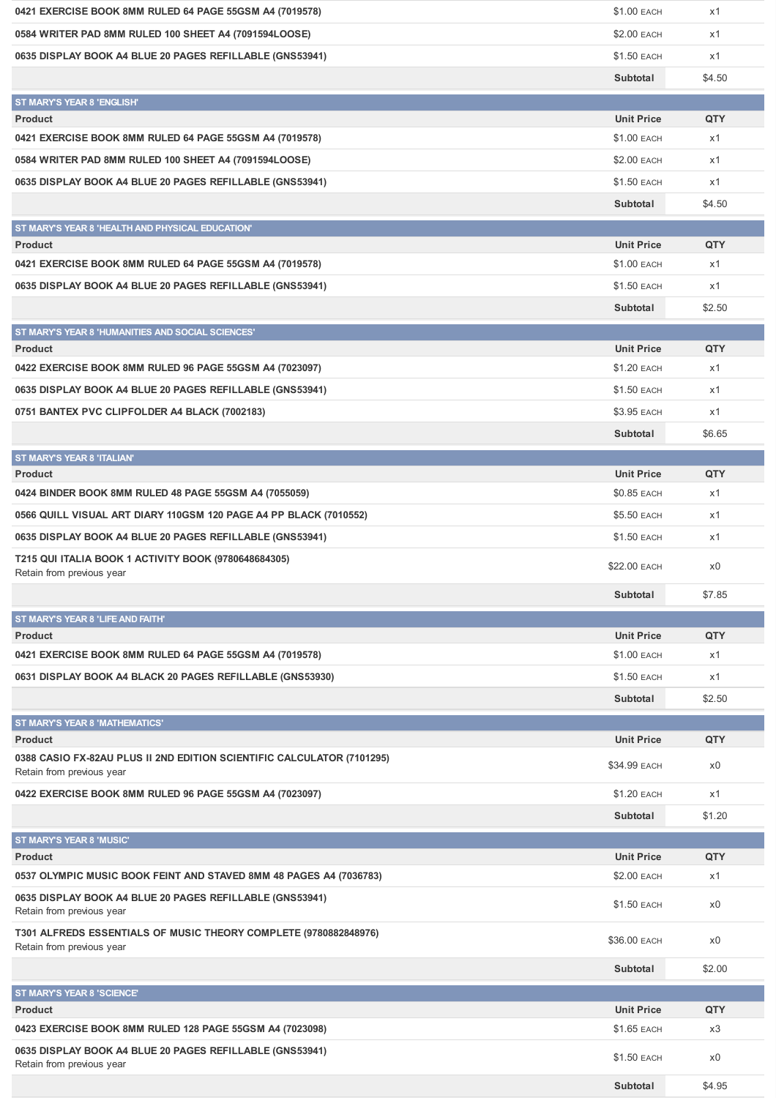| 0421 EXERCISE BOOK 8MM RULED 64 PAGE 55GSM A4 (7019578)                                       | \$1.00 EACH        | x1     |
|-----------------------------------------------------------------------------------------------|--------------------|--------|
| 0584 WRITER PAD 8MM RULED 100 SHEET A4 (7091594LOOSE)                                         | \$2.00 EACH        | x1     |
| 0635 DISPLAY BOOK A4 BLUE 20 PAGES REFILLABLE (GNS53941)                                      | \$1.50 EACH        | x1     |
|                                                                                               | Subtotal           | \$4.50 |
| <b>ST MARY'S YEAR 8 'ENGLISH'</b>                                                             |                    |        |
| <b>Product</b>                                                                                | <b>Unit Price</b>  | QTY    |
| 0421 EXERCISE BOOK 8MM RULED 64 PAGE 55GSM A4 (7019578)                                       | \$1.00 EACH        | x1     |
| 0584 WRITER PAD 8MM RULED 100 SHEET A4 (7091594LOOSE)                                         | <b>\$2.00 EACH</b> | x1     |
| 0635 DISPLAY BOOK A4 BLUE 20 PAGES REFILLABLE (GNS53941)                                      | \$1.50 EACH        | x1     |
|                                                                                               | Subtotal           | \$4.50 |
| ST MARY'S YEAR 8 'HEALTH AND PHYSICAL EDUCATION'                                              |                    |        |
| <b>Product</b>                                                                                | <b>Unit Price</b>  | QTY    |
| 0421 EXERCISE BOOK 8MM RULED 64 PAGE 55GSM A4 (7019578)                                       | \$1.00 EACH        | x1     |
| 0635 DISPLAY BOOK A4 BLUE 20 PAGES REFILLABLE (GNS53941)                                      | \$1.50 EACH        | x1     |
|                                                                                               | Subtotal           | \$2.50 |
| ST MARY'S YEAR 8 'HUMANITIES AND SOCIAL SCIENCES'                                             |                    |        |
| <b>Product</b>                                                                                | <b>Unit Price</b>  | QTY    |
| 0422 EXERCISE BOOK 8MM RULED 96 PAGE 55GSM A4 (7023097)                                       | \$1.20 EACH        | x1     |
| 0635 DISPLAY BOOK A4 BLUE 20 PAGES REFILLABLE (GNS53941)                                      | \$1.50 EACH        | x1     |
| 0751 BANTEX PVC CLIPFOLDER A4 BLACK (7002183)                                                 | \$3.95 EACH        | x1     |
|                                                                                               | Subtotal           | \$6.65 |
| ST MARY'S YEAR 8 'ITALIAN'                                                                    |                    |        |
| <b>Product</b>                                                                                | <b>Unit Price</b>  | QTY    |
| 0424 BINDER BOOK 8MM RULED 48 PAGE 55GSM A4 (7055059)                                         | \$0.85 EACH        | x1     |
| 0566 QUILL VISUAL ART DIARY 110GSM 120 PAGE A4 PP BLACK (7010552)                             | \$5.50 EACH        | x1     |
| 0635 DISPLAY BOOK A4 BLUE 20 PAGES REFILLABLE (GNS53941)                                      | <b>\$1.50 EACH</b> | x1     |
| T215 QUI ITALIA BOOK 1 ACTIVITY BOOK (9780648684305)                                          | \$22.00 EACH       | x0     |
| Retain from previous year                                                                     | Subtotal           | \$7.85 |
|                                                                                               |                    |        |
| ST MARY'S YEAR 8 'LIFE AND FAITH'<br><b>Product</b>                                           | <b>Unit Price</b>  | QTY    |
| 0421 EXERCISE BOOK 8MM RULED 64 PAGE 55GSM A4 (7019578)                                       | \$1.00 EACH        | x1     |
| 0631 DISPLAY BOOK A4 BLACK 20 PAGES REFILLABLE (GNS53930)                                     | \$1.50 EACH        | x1     |
|                                                                                               | Subtotal           | \$2.50 |
|                                                                                               |                    |        |
| <b>ST MARY'S YEAR 8 'MATHEMATICS'</b><br><b>Product</b>                                       | <b>Unit Price</b>  | QTY    |
| 0388 CASIO FX-82AU PLUS II 2ND EDITION SCIENTIFIC CALCULATOR (7101295)                        |                    |        |
| Retain from previous year                                                                     | \$34.99 EACH       | x0     |
| 0422 EXERCISE BOOK 8MM RULED 96 PAGE 55GSM A4 (7023097)                                       | \$1.20 EACH        | x1     |
|                                                                                               | Subtotal           | \$1.20 |
| ST MARY'S YEAR 8 'MUSIC'                                                                      |                    |        |
| <b>Product</b>                                                                                | <b>Unit Price</b>  | QTY    |
| 0537 OLYMPIC MUSIC BOOK FEINT AND STAVED 8MM 48 PAGES A4 (7036783)                            | \$2.00 EACH        | x1     |
| 0635 DISPLAY BOOK A4 BLUE 20 PAGES REFILLABLE (GNS53941)<br>Retain from previous year         | \$1.50 EACH        | x0     |
| T301 ALFREDS ESSENTIALS OF MUSIC THEORY COMPLETE (9780882848976)<br>Retain from previous year | \$36.00 EACH       | x0     |
|                                                                                               | Subtotal           | \$2.00 |
| ST MARY'S YEAR 8 'SCIENCE'                                                                    |                    |        |
| <b>Product</b>                                                                                | <b>Unit Price</b>  | QTY    |
| 0423 EXERCISE BOOK 8MM RULED 128 PAGE 55GSM A4 (7023098)                                      | \$1.65 EACH        | x3     |
| 0635 DISPLAY BOOK A4 BLUE 20 PAGES REFILLABLE (GNS53941)                                      |                    |        |
| Retain from previous year                                                                     | \$1.50 EACH        | x0     |